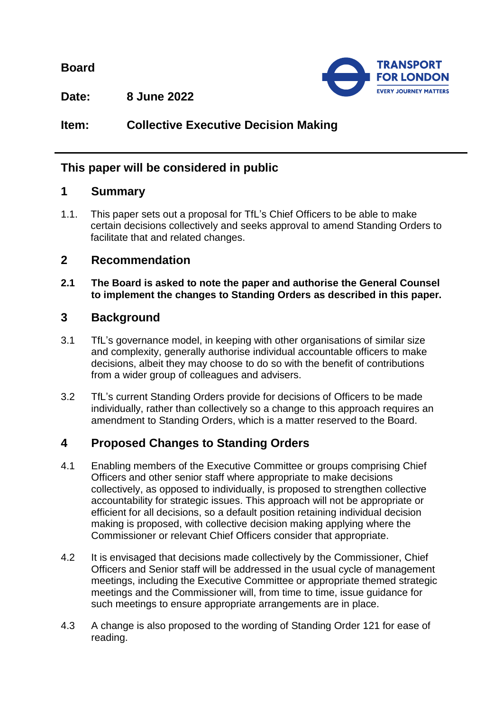**Board**



**Date: 8 June 2022**

# **Item: Collective Executive Decision Making**

# **This paper will be considered in public**

#### **1 Summary**

1.1. This paper sets out a proposal for TfL's Chief Officers to be able to make certain decisions collectively and seeks approval to amend Standing Orders to facilitate that and related changes.

## **2 Recommendation**

**2.1 The Board is asked to note the paper and authorise the General Counsel to implement the changes to Standing Orders as described in this paper.**

## **3 Background**

- 3.1 TfL's governance model, in keeping with other organisations of similar size and complexity, generally authorise individual accountable officers to make decisions, albeit they may choose to do so with the benefit of contributions from a wider group of colleagues and advisers.
- 3.2 TfL's current Standing Orders provide for decisions of Officers to be made individually, rather than collectively so a change to this approach requires an amendment to Standing Orders, which is a matter reserved to the Board.

## **4 Proposed Changes to Standing Orders**

- 4.1 Enabling members of the Executive Committee or groups comprising Chief Officers and other senior staff where appropriate to make decisions collectively, as opposed to individually, is proposed to strengthen collective accountability for strategic issues. This approach will not be appropriate or efficient for all decisions, so a default position retaining individual decision making is proposed, with collective decision making applying where the Commissioner or relevant Chief Officers consider that appropriate.
- 4.2 It is envisaged that decisions made collectively by the Commissioner, Chief Officers and Senior staff will be addressed in the usual cycle of management meetings, including the Executive Committee or appropriate themed strategic meetings and the Commissioner will, from time to time, issue guidance for such meetings to ensure appropriate arrangements are in place.
- 4.3 A change is also proposed to the wording of Standing Order 121 for ease of reading.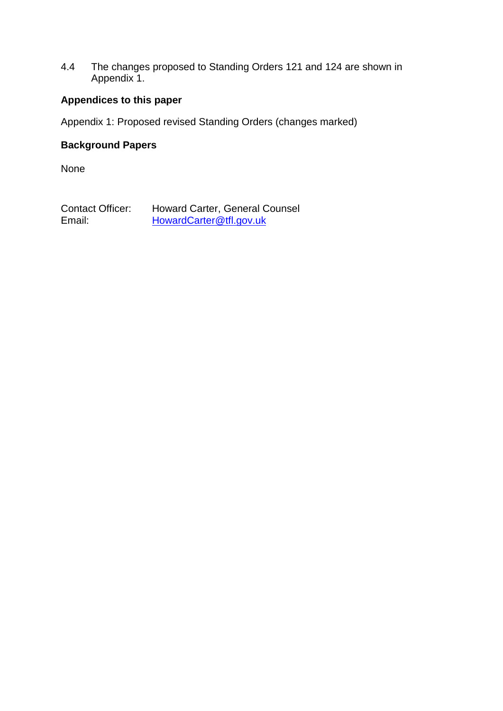4.4 The changes proposed to Standing Orders 121 and 124 are shown in Appendix 1.

#### **Appendices to this paper**

Appendix 1: Proposed revised Standing Orders (changes marked)

#### **Background Papers**

None

Contact Officer: Howard Carter, General Counsel<br>Email: HowardCarter@tfl.gov.uk [HowardCarter@tfl.gov.uk](mailto:HowardCarter@tfl.gov.uk)